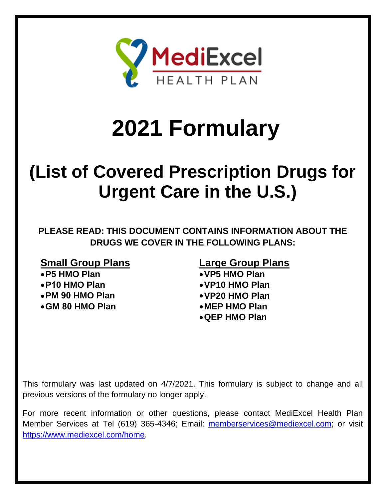

# **2021 Formulary**

## **(List of Covered Prescription Drugs for Urgent Care in the U.S.)**

**PLEASE READ: THIS DOCUMENT CONTAINS INFORMATION ABOUT THE DRUGS WE COVER IN THE FOLLOWING PLANS:**

#### **Small Group Plans Large Group Plans**

- **P5 HMO Plan** •
- **P10 HMO Plan** •
- **VP20 HMO Plan PM 90 HMO Plan** •
- **MEP HMO Plan GM 80 HMO Plan** •

- **VP5 HMO Plan** • **VP10 HMO Plan**
- 
- 
- •**QEP HMO Plan**

This formulary was last updated on 4/7/2021. This formulary is subject to change and all previous versions of the formulary no longer apply.

For more recent information or other questions, please contact MediExcel Health Plan Member Services at Tel (619) 365-4346; Email: [memberservices@mediexcel.com;](mailto:memberservices@mediexcel.com) or visit [https://www.mediexcel.com/home.](https://www.mediexcel.com/home)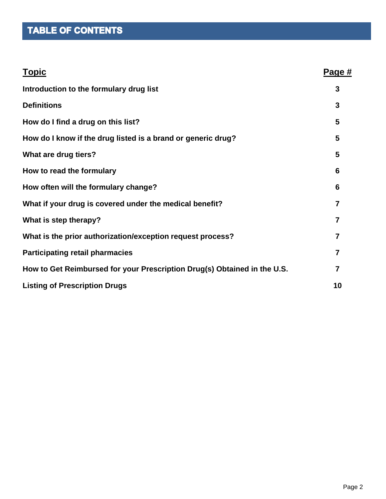### **TABLE OF CONTENTS**

| <b>Topic</b>                                                             | Page #         |
|--------------------------------------------------------------------------|----------------|
| Introduction to the formulary drug list                                  | 3              |
| <b>Definitions</b>                                                       | 3              |
| How do I find a drug on this list?                                       | 5              |
| How do I know if the drug listed is a brand or generic drug?             | 5              |
| What are drug tiers?                                                     | 5              |
| How to read the formulary                                                | 6              |
| How often will the formulary change?                                     | 6              |
| What if your drug is covered under the medical benefit?                  | 7              |
| What is step therapy?                                                    | $\overline{7}$ |
| What is the prior authorization/exception request process?               | $\overline{7}$ |
| <b>Participating retail pharmacies</b>                                   | $\overline{7}$ |
| How to Get Reimbursed for your Prescription Drug(s) Obtained in the U.S. | $\overline{7}$ |
| <b>Listing of Prescription Drugs</b>                                     | 10             |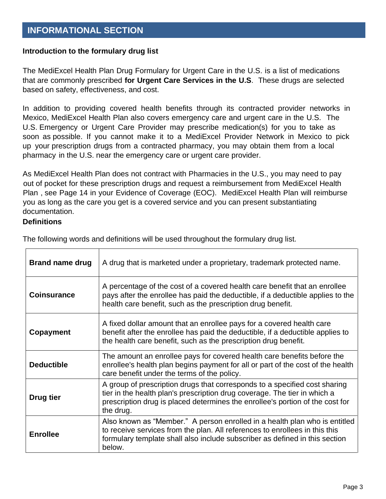#### **Introduction to the formulary drug list**

The MediExcel Health Plan Drug Formulary for Urgent Care in the U.S. is a list of medications that are commonly prescribed **for Urgent Care Services in the U.S**. These drugs are selected based on safety, effectiveness, and cost.

In addition to providing covered health benefits through its contracted provider networks in Mexico, MediExcel Health Plan also covers emergency care and urgent care in the U.S. The U.S. Emergency or Urgent Care Provider may prescribe medication(s) for you to take as soon as possible. If you cannot make it to a MediExcel Provider Network in Mexico to pick up your prescription drugs from a contracted pharmacy, you may obtain them from a local pharmacy in the U.S. near the emergency care or urgent care provider.

As MediExcel Health Plan does not contract with Pharmacies in the U.S., you may need to pay out of pocket for these prescription drugs and request a reimbursement from MediExcel Health Plan , see Page 14 in your Evidence of Coverage (EOC). MediExcel Health Plan will reimburse you as long as the care you get is a covered service and you can present substantiating documentation.

#### **Definitions**

| <b>Brand name drug</b> | A drug that is marketed under a proprietary, trademark protected name.                                                                                                                                                                                |
|------------------------|-------------------------------------------------------------------------------------------------------------------------------------------------------------------------------------------------------------------------------------------------------|
| <b>Coinsurance</b>     | A percentage of the cost of a covered health care benefit that an enrollee<br>pays after the enrollee has paid the deductible, if a deductible applies to the<br>health care benefit, such as the prescription drug benefit.                          |
| Copayment              | A fixed dollar amount that an enrollee pays for a covered health care<br>benefit after the enrollee has paid the deductible, if a deductible applies to<br>the health care benefit, such as the prescription drug benefit.                            |
| <b>Deductible</b>      | The amount an enrollee pays for covered health care benefits before the<br>enrollee's health plan begins payment for all or part of the cost of the health<br>care benefit under the terms of the policy.                                             |
| Drug tier              | A group of prescription drugs that corresponds to a specified cost sharing<br>tier in the health plan's prescription drug coverage. The tier in which a<br>prescription drug is placed determines the enrollee's portion of the cost for<br>the drug. |
| <b>Enrollee</b>        | Also known as "Member." A person enrolled in a health plan who is entitled<br>to receive services from the plan. All references to enrollees in this this<br>formulary template shall also include subscriber as defined in this section<br>below.    |

The following words and definitions will be used throughout the formulary drug list.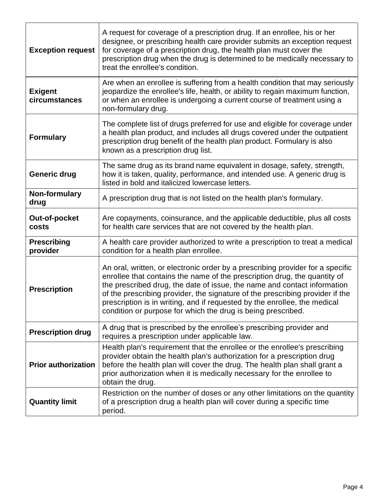| <b>Exception request</b>                                                                                                                                                                                                                                                                        | A request for coverage of a prescription drug. If an enrollee, his or her<br>designee, or prescribing health care provider submits an exception request<br>for coverage of a prescription drug, the health plan must cover the<br>prescription drug when the drug is determined to be medically necessary to<br>treat the enrollee's condition.                                                                                                                       |
|-------------------------------------------------------------------------------------------------------------------------------------------------------------------------------------------------------------------------------------------------------------------------------------------------|-----------------------------------------------------------------------------------------------------------------------------------------------------------------------------------------------------------------------------------------------------------------------------------------------------------------------------------------------------------------------------------------------------------------------------------------------------------------------|
| <b>Exigent</b><br>circumstances                                                                                                                                                                                                                                                                 | Are when an enrollee is suffering from a health condition that may seriously<br>jeopardize the enrollee's life, health, or ability to regain maximum function,<br>or when an enrollee is undergoing a current course of treatment using a<br>non-formulary drug.                                                                                                                                                                                                      |
| The complete list of drugs preferred for use and eligible for coverage under<br>a health plan product, and includes all drugs covered under the outpatient<br><b>Formulary</b><br>prescription drug benefit of the health plan product. Formulary is also<br>known as a prescription drug list. |                                                                                                                                                                                                                                                                                                                                                                                                                                                                       |
| <b>Generic drug</b>                                                                                                                                                                                                                                                                             | The same drug as its brand name equivalent in dosage, safety, strength,<br>how it is taken, quality, performance, and intended use. A generic drug is<br>listed in bold and italicized lowercase letters.                                                                                                                                                                                                                                                             |
| Non-formulary<br>drug                                                                                                                                                                                                                                                                           | A prescription drug that is not listed on the health plan's formulary.                                                                                                                                                                                                                                                                                                                                                                                                |
| Out-of-pocket<br>costs                                                                                                                                                                                                                                                                          | Are copayments, coinsurance, and the applicable deductible, plus all costs<br>for health care services that are not covered by the health plan.                                                                                                                                                                                                                                                                                                                       |
| <b>Prescribing</b><br>provider                                                                                                                                                                                                                                                                  | A health care provider authorized to write a prescription to treat a medical<br>condition for a health plan enrollee.                                                                                                                                                                                                                                                                                                                                                 |
| <b>Prescription</b>                                                                                                                                                                                                                                                                             | An oral, written, or electronic order by a prescribing provider for a specific<br>enrollee that contains the name of the prescription drug, the quantity of<br>the prescribed drug, the date of issue, the name and contact information<br>of the prescribing provider, the signature of the prescribing provider if the<br>prescription is in writing, and if requested by the enrollee, the medical<br>condition or purpose for which the drug is being prescribed. |
| <b>Prescription drug</b>                                                                                                                                                                                                                                                                        | A drug that is prescribed by the enrollee's prescribing provider and<br>requires a prescription under applicable law.                                                                                                                                                                                                                                                                                                                                                 |
| <b>Prior authorization</b>                                                                                                                                                                                                                                                                      | Health plan's requirement that the enrollee or the enrollee's prescribing<br>provider obtain the health plan's authorization for a prescription drug<br>before the health plan will cover the drug. The health plan shall grant a<br>prior authorization when it is medically necessary for the enrollee to<br>obtain the drug.                                                                                                                                       |
| <b>Quantity limit</b>                                                                                                                                                                                                                                                                           | Restriction on the number of doses or any other limitations on the quantity<br>of a prescription drug a health plan will cover during a specific time<br>period.                                                                                                                                                                                                                                                                                                      |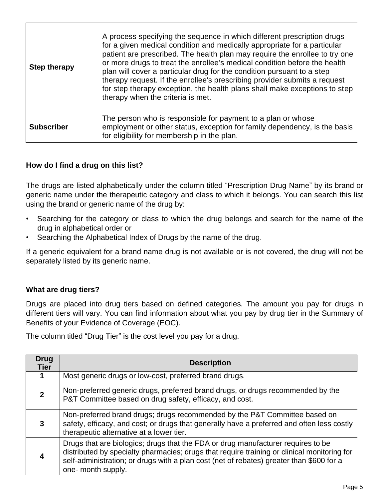| <b>Step therapy</b> | A process specifying the sequence in which different prescription drugs<br>for a given medical condition and medically appropriate for a particular<br>patient are prescribed. The health plan may require the enrollee to try one<br>or more drugs to treat the enrollee's medical condition before the health<br>plan will cover a particular drug for the condition pursuant to a step<br>therapy request. If the enrollee's prescribing provider submits a request<br>for step therapy exception, the health plans shall make exceptions to step<br>therapy when the criteria is met. |
|---------------------|-------------------------------------------------------------------------------------------------------------------------------------------------------------------------------------------------------------------------------------------------------------------------------------------------------------------------------------------------------------------------------------------------------------------------------------------------------------------------------------------------------------------------------------------------------------------------------------------|
| <b>Subscriber</b>   | The person who is responsible for payment to a plan or whose<br>employment or other status, exception for family dependency, is the basis<br>for eligibility for membership in the plan.                                                                                                                                                                                                                                                                                                                                                                                                  |

#### **How do I find a drug on this list?**

The drugs are listed alphabetically under the column titled "Prescription Drug Name" by its brand or generic name under the therapeutic category and class to which it belongs. You can search this list using the brand or generic name of the drug by:

- Searching for the category or class to which the drug belongs and search for the name of the drug in alphabetical order or
- Searching the Alphabetical Index of Drugs by the name of the drug.

If a generic equivalent for a brand name drug is not available or is not covered, the drug will not be separately listed by its generic name.

#### **What are drug tiers?**

Drugs are placed into drug tiers based on defined categories. The amount you pay for drugs in different tiers will vary. You can find information about what you pay by drug tier in the Summary of Benefits of your Evidence of Coverage (EOC).

The column titled "Drug Tier" is the cost level you pay for a drug.

| <b>Drug</b><br><b>Tier</b> | <b>Description</b>                                                                                                                                                                                                                                                                                |
|----------------------------|---------------------------------------------------------------------------------------------------------------------------------------------------------------------------------------------------------------------------------------------------------------------------------------------------|
|                            | Most generic drugs or low-cost, preferred brand drugs.                                                                                                                                                                                                                                            |
|                            | Non-preferred generic drugs, preferred brand drugs, or drugs recommended by the<br>P&T Committee based on drug safety, efficacy, and cost.                                                                                                                                                        |
|                            | Non-preferred brand drugs; drugs recommended by the P&T Committee based on<br>safety, efficacy, and cost; or drugs that generally have a preferred and often less costly<br>therapeutic alternative at a lower tier.                                                                              |
|                            | Drugs that are biologics; drugs that the FDA or drug manufacturer requires to be<br>distributed by specialty pharmacies; drugs that require training or clinical monitoring for<br>self-administration; or drugs with a plan cost (net of rebates) greater than \$600 for a<br>one- month supply. |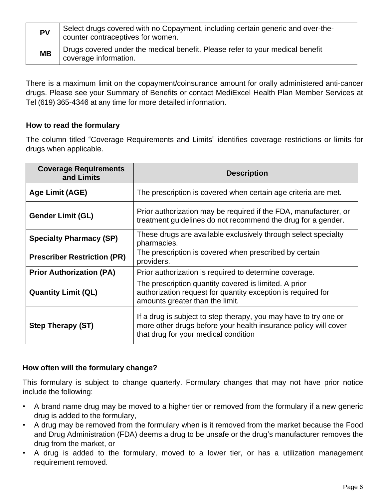| PV        | Select drugs covered with no Copayment, including certain generic and over-the-<br>counter contraceptives for women. |
|-----------|----------------------------------------------------------------------------------------------------------------------|
| <b>MB</b> | Drugs covered under the medical benefit. Please refer to your medical benefit<br>coverage information.               |

There is a maximum limit on the copayment/coinsurance amount for orally administered anti-cancer drugs. Please see your Summary of Benefits or contact MediExcel Health Plan Member Services at Tel (619) 365-4346 at any time for more detailed information.

#### **How to read the formulary**

The column titled "Coverage Requirements and Limits" identifies coverage restrictions or limits for drugs when applicable.

| <b>Coverage Requirements</b><br>and Limits | <b>Description</b>                                                                                                                                                          |
|--------------------------------------------|-----------------------------------------------------------------------------------------------------------------------------------------------------------------------------|
| Age Limit (AGE)                            | The prescription is covered when certain age criteria are met.                                                                                                              |
| <b>Gender Limit (GL)</b>                   | Prior authorization may be required if the FDA, manufacturer, or<br>treatment guidelines do not recommend the drug for a gender.                                            |
| <b>Specialty Pharmacy (SP)</b>             | These drugs are available exclusively through select specialty<br>pharmacies.                                                                                               |
| <b>Prescriber Restriction (PR)</b>         | The prescription is covered when prescribed by certain<br>providers.                                                                                                        |
| <b>Prior Authorization (PA)</b>            | Prior authorization is required to determine coverage.                                                                                                                      |
| <b>Quantity Limit (QL)</b>                 | The prescription quantity covered is limited. A prior<br>authorization request for quantity exception is required for<br>amounts greater than the limit.                    |
| <b>Step Therapy (ST)</b>                   | If a drug is subject to step therapy, you may have to try one or<br>more other drugs before your health insurance policy will cover<br>that drug for your medical condition |

#### **How often will the formulary change?**

This formulary is subject to change quarterly. Formulary changes that may not have prior notice include the following:

- A brand name drug may be moved to a higher tier or removed from the formulary if a new generic drug is added to the formulary,
- A drug may be removed from the formulary when is it removed from the market because the Food and Drug Administration (FDA) deems a drug to be unsafe or the drug's manufacturer removes the drug from the market, or
- A drug is added to the formulary, moved to a lower tier, or has a utilization management requirement removed.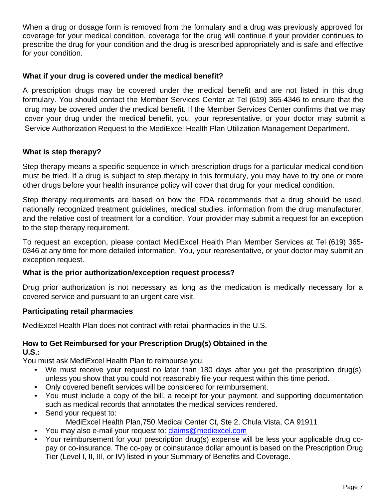When a drug or dosage form is removed from the formulary and a drug was previously approved for coverage for your medical condition, coverage for the drug will continue if your provider continues to prescribe the drug for your condition and the drug is prescribed appropriately and is safe and effective for your condition.

#### **What if your drug is covered under the medical benefit?**

A prescription drugs may be covered under the medical benefit and are not listed in this drug formulary. You should contact the Member Services Center at Tel (619) 365-4346 to ensure that the drug may be covered under the medical benefit. If the Member Services Center confirms that we may cover your drug under the medical benefit, you, your representative, or your doctor may submit a Service Authorization Request to the MediExcel Health Plan Utilization Management Department.

#### **What is step therapy?**

Step therapy means a specific sequence in which prescription drugs for a particular medical condition must be tried. If a drug is subject to step therapy in this formulary, you may have to try one or more other drugs before your health insurance policy will cover that drug for your medical condition.

Step therapy requirements are based on how the FDA recommends that a drug should be used, nationally recognized treatment guidelines, medical studies, information from the drug manufacturer, and the relative cost of treatment for a condition. Your provider may submit a request for an exception to the step therapy requirement.

To request an exception, please contact MediExcel Health Plan Member Services at Tel (619) 365- 0346 at any time for more detailed information. You, your representative, or your doctor may submit an exception request.

#### **What is the prior authorization/exception request process?**

Drug prior authorization is not necessary as long as the medication is medically necessary for a covered service and pursuant to an urgent care visit.

#### **Participating retail pharmacies**

MediExcel Health Plan does not contract with retail pharmacies in the U.S. j

#### **How to Get Reimbursed for your Prescription Drug(s) Obtained in the U.S.:**

You must ask MediExcel Health Plan to reimburse you.

- We must receive your request no later than 180 days after you get the prescription drug(s). unless you show that you could not reasonably file your request within this time period.
- Only covered benefit services will be considered for reimbursement.
- You must include a copy of the bill, a receipt for your payment, and supporting documentation such as medical records that annotates the medical services rendered.
- Send your request to:
	- MediExcel Health Plan,750 Medical Center Ct, Ste 2, Chula Vista, CA 91911
- You may also e-mail your request to: [claims@mediexcel.com](mailto:claims@mediexcel.com)
- Your reimbursement for your prescription drug(s) expense will be less your applicable drug copay or co-insurance. The co-pay or coinsurance dollar amount is based on the Prescription Drug Tier (Level I, II, III, or IV) listed in your Summary of Benefits and Coverage.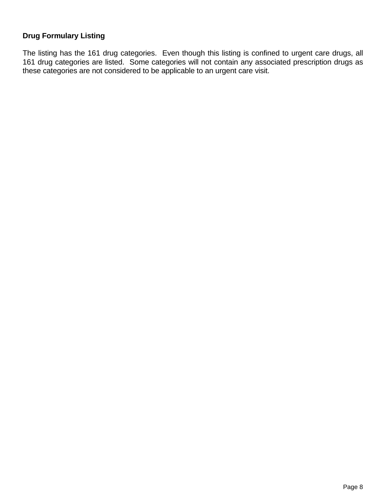#### **Drug Formulary Listing**

The listing has the 161 drug categories. Even though this listing is confined to urgent care drugs, all 161 drug categories are listed. Some categories will not contain any associated prescription drugs as these categories are not considered to be applicable to an urgent care visit.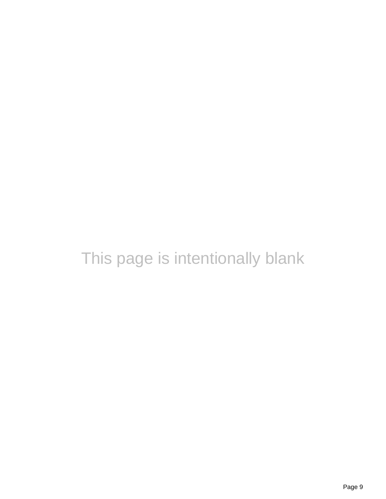## This page is intentionally blank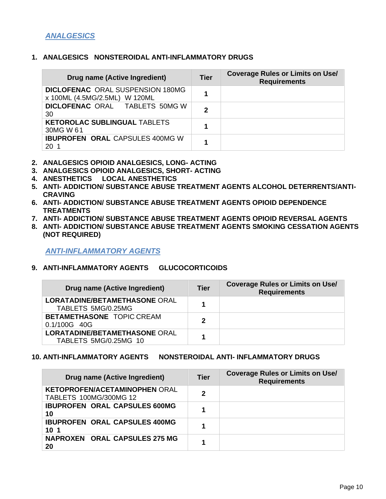#### *ANALGESICS*

#### **1. ANALGESICS NONSTEROIDAL ANTI-INFLAMMATORY DRUGS**

| Drug name (Active Ingredient)                                            | <b>Tier</b> | <b>Coverage Rules or Limits on Use/</b><br><b>Requirements</b> |
|--------------------------------------------------------------------------|-------------|----------------------------------------------------------------|
| <b>DICLOFENAC ORAL SUSPENSION 180MG</b><br>x 100ML (4.5MG/2.5ML) W 120ML | 1           |                                                                |
| <b>DICLOFENAC ORAL TABLETS 50MG W</b><br>30                              | 2           |                                                                |
| <b>KETOROLAC SUBLINGUAL TABLETS</b><br>30MG W 61                         | 1           |                                                                |
| <b>IBUPROFEN ORAL CAPSULES 400MG W</b><br>20 <sub>1</sub>                |             |                                                                |

- **2. ANALGESICS OPIOID ANALGESICS, LONG- ACTING**
- **3. ANALGESICS OPIOID ANALGESICS, SHORT- ACTING**
- **4. ANESTHETICS LOCAL ANESTHETICS**
- **5. ANTI- ADDICTION/ SUBSTANCE ABUSE TREATMENT AGENTS ALCOHOL DETERRENTS/ANTI-CRAVING**
- **6. ANTI- ADDICTION/ SUBSTANCE ABUSE TREATMENT AGENTS OPIOID DEPENDENCE TREATMENTS**
- **7. ANTI- ADDICTION/ SUBSTANCE ABUSE TREATMENT AGENTS OPIOID REVERSAL AGENTS**
- **8. ANTI- ADDICTION/ SUBSTANCE ABUSE TREATMENT AGENTS SMOKING CESSATION AGENTS (NOT REQUIRED)**

*ANTI-INFLAMMATORY AGENTS*

#### **9. ANTI-INFLAMMATORY AGENTS GLUCOCORTICOIDS**

| Drug name (Active Ingredient)                                 | Tier         | <b>Coverage Rules or Limits on Use/</b><br><b>Requirements</b> |
|---------------------------------------------------------------|--------------|----------------------------------------------------------------|
| <b>LORATADINE/BETAMETHASONE ORAL</b><br>TABLETS 5MG/0.25MG    |              |                                                                |
| <b>BETAMETHASONE TOPIC CREAM</b><br>$0.1/100G$ 40G            | $\mathbf{2}$ |                                                                |
| <b>LORATADINE/BETAMETHASONE ORAL</b><br>TABLETS 5MG/0.25MG 10 |              |                                                                |

#### **10. ANTI-INFLAMMATORY AGENTS NONSTEROIDAL ANTI- INFLAMMATORY DRUGS**

| Drug name (Active Ingredient)                                  | <b>Tier</b>  | <b>Coverage Rules or Limits on Use/</b><br><b>Requirements</b> |
|----------------------------------------------------------------|--------------|----------------------------------------------------------------|
| <b>KETOPROFEN/ACETAMINOPHEN ORAL</b><br>TABLETS 100MG/300MG 12 | $\mathbf{2}$ |                                                                |
| <b>IBUPROFEN ORAL CAPSULES 600MG</b><br>10                     |              |                                                                |
| <b>IBUPROFEN ORAL CAPSULES 400MG</b><br>10 <sub>1</sub>        |              |                                                                |
| <b>NAPROXEN ORAL CAPSULES 275 MG</b><br>20                     |              |                                                                |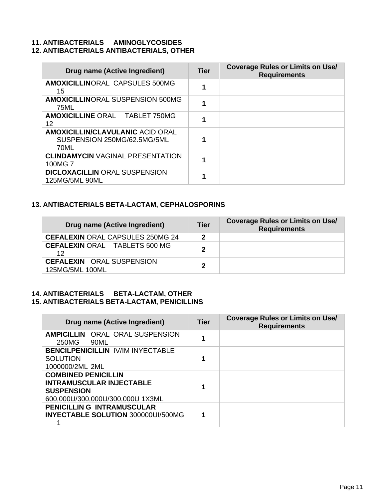#### **11. ANTIBACTERIALS AMINOGLYCOSIDES 12. ANTIBACTERIALS ANTIBACTERIALS, OTHER**

| Drug name (Active Ingredient)                                                  | <b>Tier</b> | <b>Coverage Rules or Limits on Use/</b><br><b>Requirements</b> |
|--------------------------------------------------------------------------------|-------------|----------------------------------------------------------------|
| <b>AMOXICILLINORAL CAPSULES 500MG</b><br>15                                    |             |                                                                |
| <b>AMOXICILLINORAL SUSPENSION 500MG</b><br>75ML                                |             |                                                                |
| <b>AMOXICILLINE ORAL</b><br>TABLET 750MG<br>12                                 |             |                                                                |
| <b>AMOXICILLIN/CLAVULANIC ACID ORAL</b><br>SUSPENSION 250MG/62.5MG/5ML<br>70ML |             |                                                                |
| <b>CLINDAMYCIN VAGINAL PRESENTATION</b><br>100MG 7                             |             |                                                                |
| <b>DICLOXACILLIN ORAL SUSPENSION</b><br>125MG/5ML 90ML                         |             |                                                                |

#### **13. ANTIBACTERIALS BETA-LACTAM, CEPHALOSPORINS**

| Drug name (Active Ingredient)                       | <b>Tier</b>  | <b>Coverage Rules or Limits on Use/</b><br><b>Requirements</b> |
|-----------------------------------------------------|--------------|----------------------------------------------------------------|
| <b>CEFALEXIN ORAL CAPSULES 250MG 24</b>             | 2            |                                                                |
| <b>CEFALEXIN ORAL TABLETS 500 MG</b><br>12          | $\mathbf{p}$ |                                                                |
| <b>CEFALEXIN ORAL SUSPENSION</b><br>125MG/5ML 100ML | $\mathbf{2}$ |                                                                |

#### **14. ANTIBACTERIALS BETA-LACTAM, OTHER 15. ANTIBACTERIALS BETA-LACTAM, PENICILLINS**

| Drug name (Active Ingredient)                                                                                          | <b>Tier</b> | <b>Coverage Rules or Limits on Use/</b><br><b>Requirements</b> |
|------------------------------------------------------------------------------------------------------------------------|-------------|----------------------------------------------------------------|
| <b>AMPICILLIN</b> ORAL ORAL SUSPENSION<br>250MG<br>90ML                                                                |             |                                                                |
| <b>BENCILPENICILLIN IV/IM INYECTABLE</b><br><b>SOLUTION</b><br>1000000/2ML 2ML                                         |             |                                                                |
| <b>COMBINED PENICILLIN</b><br><b>INTRAMUSCULAR INJECTABLE</b><br><b>SUSPENSION</b><br>600,000U/300,000U/300,000U 1X3ML |             |                                                                |
| <b>PENICILLIN G INTRAMUSCULAR</b><br><b>INYECTABLE SOLUTION 300000UI/500MG</b>                                         |             |                                                                |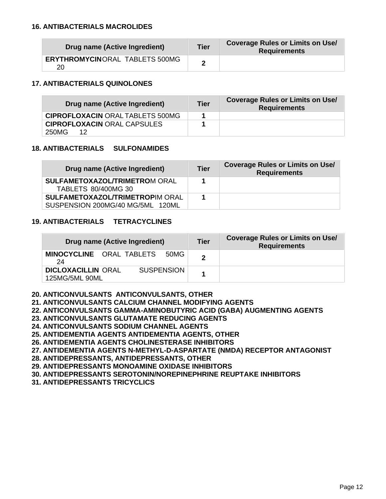#### **16. ANTIBACTERIALS MACROLIDES**

| Drug name (Active Ingredient)               | <b>Tier</b> | <b>Coverage Rules or Limits on Use/</b><br><b>Requirements</b> |
|---------------------------------------------|-------------|----------------------------------------------------------------|
| <b>ERYTHROMYCINORAL TABLETS 500MG</b><br>20 |             |                                                                |

#### **17. ANTIBACTERIALS QUINOLONES**

| Drug name (Active Ingredient)           | <b>Tier</b> | <b>Coverage Rules or Limits on Use/</b><br><b>Requirements</b> |
|-----------------------------------------|-------------|----------------------------------------------------------------|
| <b>CIPROFLOXACIN ORAL TABLETS 500MG</b> |             |                                                                |
| <b>CIPROFLOXACIN ORAL CAPSULES</b>      |             |                                                                |
| 250MG<br>12                             |             |                                                                |

#### **18. ANTIBACTERIALS SULFONAMIDES**

| Drug name (Active Ingredient)                                              | <b>Tier</b> | <b>Coverage Rules or Limits on Use/</b><br><b>Requirements</b> |
|----------------------------------------------------------------------------|-------------|----------------------------------------------------------------|
| <b>SULFAMETOXAZOL/TRIMETROM ORAL</b><br><b>TABLETS 80/400MG 30</b>         |             |                                                                |
| <b>SULFAMETOXAZOL/TRIMETROPIM ORAL</b><br>SUSPENSION 200MG/40 MG/5ML 120ML |             |                                                                |

#### **19. ANTIBACTERIALS TETRACYCLINES**

| <b>Drug name (Active Ingredient)</b>                             | <b>Tier</b> | <b>Coverage Rules or Limits on Use/</b><br><b>Requirements</b> |
|------------------------------------------------------------------|-------------|----------------------------------------------------------------|
| <b>MINOCYCLINE</b> ORAL TABLETS<br>50MG<br>24                    | າ           |                                                                |
| <b>DICLOXACILLIN ORAL</b><br><b>SUSPENSION</b><br>125MG/5ML 90ML |             |                                                                |

#### **20. ANTICONVULSANTS ANTICONVULSANTS, OTHER**

- **21. ANTICONVULSANTS CALCIUM CHANNEL MODIFYING AGENTS**
- **22. ANTICONVULSANTS GAMMA-AMINOBUTYRIC ACID (GABA) AUGMENTING AGENTS**
- **23. ANTICONVULSANTS GLUTAMATE REDUCING AGENTS**
- **24. ANTICONVULSANTS SODIUM CHANNEL AGENTS**
- **25. ANTIDEMENTIA AGENTS ANTIDEMENTIA AGENTS, OTHER**
- **26. ANTIDEMENTIA AGENTS CHOLINESTERASE INHIBITORS**
- **27. ANTIDEMENTIA AGENTS N-METHYL-D-ASPARTATE (NMDA) RECEPTOR ANTAGONIST**
- **28. ANTIDEPRESSANTS, ANTIDEPRESSANTS, OTHER**
- **29. ANTIDEPRESSANTS MONOAMINE OXIDASE INHIBITORS**
- **30. ANTIDEPRESSANTS SEROTONIN/NOREPINEPHRINE REUPTAKE INHIBITORS**
- **31. ANTIDEPRESSANTS TRICYCLICS**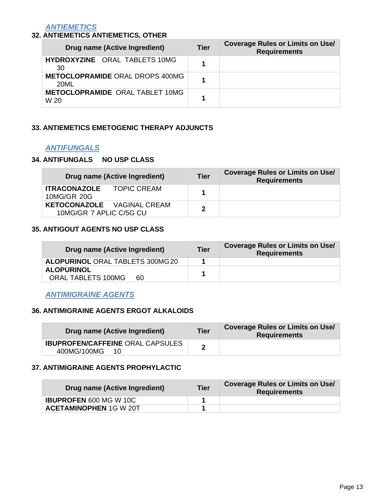*ANTIEMETICS*

#### **32. ANTIEMETICS ANTIEMETICS, OTHER**

| Drug name (Active Ingredient)                  | <b>Tier</b> | <b>Coverage Rules or Limits on Use/</b><br><b>Requirements</b> |
|------------------------------------------------|-------------|----------------------------------------------------------------|
| <b>HYDROXYZINE</b> ORAL TABLETS 10MG<br>30     |             |                                                                |
| <b>METOCLOPRAMIDE ORAL DROPS 400MG</b><br>20ML |             |                                                                |
| <b>METOCLOPRAMIDE ORAL TABLET 10MG</b><br>W 20 |             |                                                                |

#### **33. ANTIEMETICS EMETOGENIC THERAPY ADJUNCTS**

#### *ANTIFUNGALS*

#### **34. ANTIFUNGALS NO USP CLASS**

| Drug name (Active Ingredient)                                | <b>Tier</b> | <b>Coverage Rules or Limits on Use/</b><br><b>Requirements</b> |
|--------------------------------------------------------------|-------------|----------------------------------------------------------------|
| <b>ITRACONAZOLE</b> TOPIC CREAM<br>10MG/GR 20G               |             |                                                                |
| <b>KETOCONAZOLE</b> VAGINAL CREAM<br>10MG/GR 7 APLIC C/5G CU | 2           |                                                                |

#### **35. ANTIGOUT AGENTS NO USP CLASS**

| Drug name (Active Ingredient)                 | <b>Tier</b> | <b>Coverage Rules or Limits on Use/</b><br><b>Requirements</b> |
|-----------------------------------------------|-------------|----------------------------------------------------------------|
| <b>ALOPURINOL ORAL TABLETS 300MG20</b>        |             |                                                                |
| <b>ALOPURINOL</b><br>ORAL TABLETS 100MG<br>60 |             |                                                                |

*ANTIMIGRAINE AGENTS*

#### **36. ANTIMIGRAINE AGENTS ERGOT ALKALOIDS**

| Drug name (Active Ingredient)                                | <b>Tier</b> | <b>Coverage Rules or Limits on Use/</b><br><b>Requirements</b> |
|--------------------------------------------------------------|-------------|----------------------------------------------------------------|
| <b>IBUPROFEN/CAFFEINE ORAL CAPSULES</b><br>400MG/100MG<br>10 | ◠           |                                                                |

#### **37. ANTIMIGRAINE AGENTS PROPHYLACTIC**

| Drug name (Active Ingredient) | <b>Tier</b> | <b>Coverage Rules or Limits on Use/</b><br><b>Requirements</b> |
|-------------------------------|-------------|----------------------------------------------------------------|
| <b>IBUPROFEN 600 MG W 10C</b> |             |                                                                |
| <b>ACETAMINOPHEN 1G W 20T</b> |             |                                                                |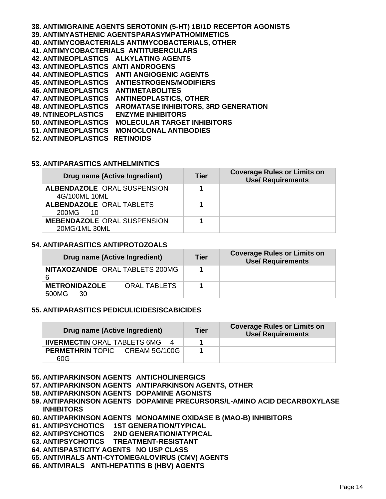|                                            | 38. ANTIMIGRAINE AGENTS SEROTONIN (5-HT) 1B/1D RECEPTOR AGONISTS |
|--------------------------------------------|------------------------------------------------------------------|
|                                            | 39. ANTIMYASTHENIC AGENTSPARASYMPATHOMIMETICS                    |
|                                            | 40. ANTIMYCOBACTERIALS ANTIMYCOBACTERIALS, OTHER                 |
|                                            | <b>41. ANTIMYCOBACTERIALS ANTITUBERCULARS</b>                    |
|                                            | 42. ANTINEOPLASTICS ALKYLATING AGENTS                            |
| <b>43. ANTINEOPLASTICS ANTI ANDROGENS</b>  |                                                                  |
|                                            | 44. ANTINEOPLASTICS ANTI ANGIOGENIC AGENTS                       |
|                                            | 45. ANTINEOPLASTICS ANTIESTROGENS/MODIFIERS                      |
| <b>46. ANTINEOPLASTICS ANTIMETABOLITES</b> |                                                                  |
| <b>47. ANTINEOPLASTICS</b>                 | <b>ANTINEOPLASTICS, OTHER</b>                                    |
| <b>48. ANTINEOPLASTICS</b>                 | <b>AROMATASE INHIBITORS, 3RD GENERATION</b>                      |
| <b>49. NTINEOPLASTICS</b>                  | <b>ENZYME INHIBITORS</b>                                         |
| <b>50. ANTINEOPLASTICS</b>                 | <b>MOLECULAR TARGET INHIBITORS</b>                               |
| <b>51. ANTINEOPLASTICS</b>                 | <b>MONOCLONAL ANTIBODIES</b>                                     |
| 52. ANTINEOPLASTICS RETINOIDS              |                                                                  |
|                                            |                                                                  |

#### **53. ANTIPARASITICS ANTHELMINTICS**

| Drug name (Active Ingredient)                       | <b>Tier</b> | <b>Coverage Rules or Limits on</b><br><b>Use/ Requirements</b> |
|-----------------------------------------------------|-------------|----------------------------------------------------------------|
| <b>ALBENDAZOLE ORAL SUSPENSION</b><br>4G/100ML 10ML |             |                                                                |
| <b>ALBENDAZOLE ORAL TABLETS</b><br>200MG<br>10      |             |                                                                |
| <b>MEBENDAZOLE ORAL SUSPENSION</b><br>20MG/1ML 30ML |             |                                                                |

#### **54. ANTIPARASITICS ANTIPROTOZOALS**

| Drug name (Active Ingredient)          | <b>Tier</b>         | <b>Coverage Rules or Limits on</b><br><b>Use/ Requirements</b> |
|----------------------------------------|---------------------|----------------------------------------------------------------|
| <b>NITAXOZANIDE ORAL TABLETS 200MG</b> |                     |                                                                |
| <b>METRONIDAZOLE</b><br>500MG<br>30    | <b>ORAL TABLETS</b> |                                                                |

#### **55. ANTIPARASITICS PEDICULICIDES/SCABICIDES**

| Drug name (Active Ingredient)         | Tier | <b>Coverage Rules or Limits on</b><br><b>Use/ Requirements</b> |
|---------------------------------------|------|----------------------------------------------------------------|
| <b>IIVERMECTIN ORAL TABLETS 6MG 4</b> |      |                                                                |
| <b>PERMETHRIN TOPIC CREAM 5G/100G</b> |      |                                                                |
| 60G                                   |      |                                                                |

- **56. ANTIPARKINSON AGENTS ANTICHOLINERGICS**
- **57. ANTIPARKINSON AGENTS ANTIPARKINSON AGENTS, OTHER**
- **58. ANTIPARKINSON AGENTS DOPAMINE AGONISTS**
- **59. ANTIPARKINSON AGENTS DOPAMINE PRECURSORS/L-AMINO ACID DECARBOXYLASE INHIBITORS**
- **60. ANTIPARKINSON AGENTS MONOAMINE OXIDASE B (MAO-B) INHIBITORS**
- **61. ANTIPSYCHOTICS 1ST GENERATION/TYPICAL**
- **62. ANTIPSYCHOTICS 2ND GENERATION/ATYPICAL**
- **63. ANTIPSYCHOTICS TREATMENT-RESISTANT**
- **64. ANTISPASTICITY AGENTS NO USP CLASS**
- **65. ANTIVIRALS ANTI-CYTOMEGALOVIRUS (CMV) AGENTS**
- **66. ANTIVIRALS ANTI-HEPATITIS B (HBV) AGENTS**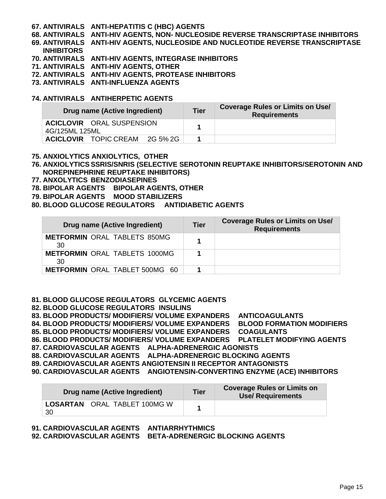#### **67. ANTIVIRALS ANTI-HEPATITIS C (HBC) AGENTS**

- **68. ANTIVIRALS ANTI-HIV AGENTS, NON- NUCLEOSIDE REVERSE TRANSCRIPTASE INHIBITORS**
- **69. ANTIVIRALS ANTI-HIV AGENTS, NUCLEOSIDE AND NUCLEOTIDE REVERSE TRANSCRIPTASE INHIBITORS**
- **70. ANTIVIRALS ANTI-HIV AGENTS, INTEGRASE INHIBITORS**
- **71. ANTIVIRALS ANTI-HIV AGENTS, OTHER**

**72. ANTIVIRALS ANTI-HIV AGENTS, PROTEASE INHIBITORS**

**73. ANTIVIRALS ANTI-INFLUENZA AGENTS**

#### **74. ANTIVIRALS ANTIHERPETIC AGENTS**

| Drug name (Active Ingredient)                      | <b>Tier</b> | <b>Coverage Rules or Limits on Use/</b><br><b>Requirements</b> |
|----------------------------------------------------|-------------|----------------------------------------------------------------|
| <b>ACICLOVIR ORAL SUSPENSION</b><br>4G/125ML 125ML |             |                                                                |
| <b>ACICLOVIR TOPIC CREAM</b><br>2G 5% 2G           |             |                                                                |

- **75. ANXIOLYTICS ANXIOLYTICS, OTHER**
- **76. ANXIOLYTICSSSRIS/SNRIS (SELECTIVE SEROTONIN REUPTAKE INHIBITORS/SEROTONIN AND NOREPINEPHRINE REUPTAKE INHIBITORS)**
- **77. ANXOLYTICS BENZODIASEPINES**
- **78. BIPOLAR AGENTS BIPOLAR AGENTS, OTHER**
- **79. BIPOLAR AGENTS MOOD STABILIZERS**

#### **80. BLOOD GLUCOSE REGULATORS ANTIDIABETIC AGENTS**

| Drug name (Active Ingredient)              | <b>Tier</b> | <b>Coverage Rules or Limits on Use/</b><br><b>Requirements</b> |
|--------------------------------------------|-------------|----------------------------------------------------------------|
| <b>METFORMIN ORAL TABLETS 850MG</b><br>30  |             |                                                                |
| <b>METFORMIN ORAL TABLETS 1000MG</b><br>30 |             |                                                                |
| <b>METFORMIN ORAL TABLET 500MG 60</b>      |             |                                                                |

#### **81. BLOOD GLUCOSE REGULATORS GLYCEMIC AGENTS**

#### **82. BLOOD GLUCOSE REGULATORS INSULINS**

**83. BLOOD PRODUCTS/ MODIFIERS/ VOLUME EXPANDERS ANTICOAGULANTS**

**84. BLOOD PRODUCTS/ MODIFIERS/ VOLUME EXPANDERS BLOOD FORMATION MODIFIERS**

**85. BLOOD PRODUCTS/ MODIFIERS/ VOLUME EXPANDERS COAGULANTS**

**86. BLOOD PRODUCTS/ MODIFIERS/ VOLUME EXPANDERS PLATELET MODIFYING AGENTS**

**87. CARDIOVASCULAR AGENTS ALPHA-ADRENERGIC AGONISTS**

**88. CARDIOVASCULAR AGENTS ALPHA-ADRENERGIC BLOCKING AGENTS**

**89. CARDIOVASCULAR AGENTS ANGIOTENSIN II RECEPTOR ANTAGONISTS**

#### **90. CARDIOVASCULAR AGENTS ANGIOTENSIN-CONVERTING ENZYME (ACE) INHIBITORS**

| Drug name (Active Ingredient)             | <b>Tier</b> | <b>Coverage Rules or Limits on</b><br><b>Use/ Requirements</b> |
|-------------------------------------------|-------------|----------------------------------------------------------------|
| <b>LOSARTAN ORAL TABLET 100MG W</b><br>30 |             |                                                                |

#### **91. CARDIOVASCULAR AGENTS ANTIARRHYTHMICS 92. CARDIOVASCULAR AGENTS BETA-ADRENERGIC BLOCKING AGENTS**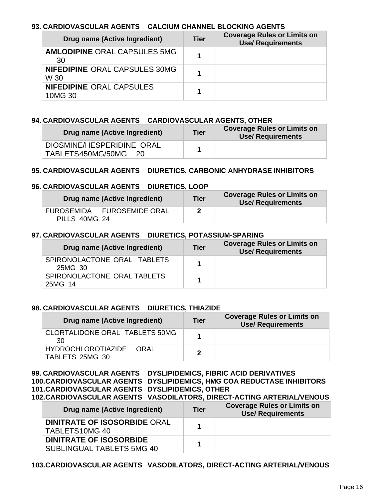#### **93. CARDIOVASCULAR AGENTS CALCIUM CHANNEL BLOCKING AGENTS**

| <b>Drug name (Active Ingredient)</b>         | <b>Tier</b> | <b>Coverage Rules or Limits on</b><br><b>Use/ Requirements</b> |
|----------------------------------------------|-------------|----------------------------------------------------------------|
| <b>AMLODIPINE ORAL CAPSULES 5MG</b><br>30    |             |                                                                |
| <b>NIFEDIPINE ORAL CAPSULES 30MG</b><br>W 30 |             |                                                                |
| <b>NIFEDIPINE ORAL CAPSULES</b><br>10MG 30   |             |                                                                |

#### **94. CARDIOVASCULAR AGENTS CARDIOVASCULAR AGENTS, OTHER**

| Drug name (Active Ingredient)                          | <b>Tier</b> | <b>Coverage Rules or Limits on</b><br><b>Use/ Requirements</b> |
|--------------------------------------------------------|-------------|----------------------------------------------------------------|
| DIOSMINE/HESPERIDINE ORAL<br>TABLETS450MG/50MG<br>-20. |             |                                                                |

#### **95. CARDIOVASCULAR AGENTS DIURETICS, CARBONIC ANHYDRASE INHIBITORS**

#### **96. CARDIOVASCULAR AGENTS DIURETICS, LOOP**

| Drug name (Active Ingredient)               | <b>Tier</b> | <b>Coverage Rules or Limits on</b><br><b>Use/ Requirements</b> |
|---------------------------------------------|-------------|----------------------------------------------------------------|
| FUROSEMIDA FUROSEMIDE ORAL<br>PILLS 40MG 24 |             |                                                                |

#### **97. CARDIOVASCULAR AGENTS DIURETICS, POTASSIUM-SPARING**

| Drug name (Active Ingredient)          | <b>Tier</b> | <b>Coverage Rules or Limits on</b><br><b>Use/ Requirements</b> |
|----------------------------------------|-------------|----------------------------------------------------------------|
| SPIRONOLACTONE ORAL TABLETS<br>25MG 30 |             |                                                                |
| SPIRONOLACTONE ORAL TABLETS<br>25MG 14 |             |                                                                |

#### **98. CARDIOVASCULAR AGENTS DIURETICS, THIAZIDE**

| Drug name (Active Ingredient)                        | <b>Tier</b> | <b>Coverage Rules or Limits on</b><br><b>Use/ Requirements</b> |
|------------------------------------------------------|-------------|----------------------------------------------------------------|
| CLORTALIDONE ORAL TABLETS 50MG<br>30                 |             |                                                                |
| <b>HYDROCHLOROTIAZIDE</b><br>ORAL<br>TABLETS 25MG 30 |             |                                                                |

#### **99. CARDIOVASCULAR AGENTS DYSLIPIDEMICS, FIBRIC ACID DERIVATIVES 100.CARDIOVASCULAR AGENTS DYSLIPIDEMICS, HMG COA REDUCTASE INHIBITORS 101.CARDIOVASCULAR AGENTS DYSLIPIDEMICS, OTHER 102.CARDIOVASCULAR AGENTS VASODILATORS, DIRECT-ACTING ARTERIAL/VENOUS**

| Drug name (Active Ingredient)                                      | Tier | <b>Coverage Rules or Limits on</b><br><b>Use/ Requirements</b> |
|--------------------------------------------------------------------|------|----------------------------------------------------------------|
| <b>DINITRATE OF ISOSORBIDE ORAL</b><br>TABLETS10MG 40              |      |                                                                |
| <b>DINITRATE OF ISOSORBIDE</b><br><b>SUBLINGUAL TABLETS 5MG 40</b> |      |                                                                |

#### **103.CARDIOVASCULAR AGENTS VASODILATORS, DIRECT-ACTING ARTERIAL/VENOUS**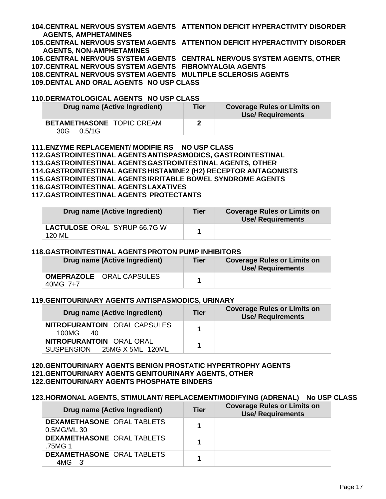#### **104.CENTRAL NERVOUS SYSTEM AGENTS ATTENTION DEFICIT HYPERACTIVITY DISORDER AGENTS, AMPHETAMINES**

**105.CENTRAL NERVOUS SYSTEM AGENTS ATTENTION DEFICIT HYPERACTIVITY DISORDER AGENTS, NON-AMPHETAMINES**

**106.CENTRAL NERVOUS SYSTEM AGENTS CENTRAL NERVOUS SYSTEM AGENTS, OTHER 107.CENTRAL NERVOUS SYSTEM AGENTS FIBROMYALGIA AGENTS 108.CENTRAL NERVOUS SYSTEM AGENTS MULTIPLE SCLEROSIS AGENTS 109.DENTAL AND ORAL AGENTS NO USP CLASS**

#### **110.DERMATOLOGICAL AGENTS NO USP CLASS**

| Drug name (Active Ingredient)              | Tier | <b>Coverage Rules or Limits on</b><br><b>Use/ Requirements</b> |
|--------------------------------------------|------|----------------------------------------------------------------|
| BETAMETHASONE TOPIC CREAM<br>30G<br>0.5/1G |      |                                                                |

**111.ENZYME REPLACEMENT/ MODIFIE RS NO USP CLASS 112.GASTROINTESTINAL AGENTSANTISPASMODICS, GASTROINTESTINAL 113.GASTROINTESTINAL AGENTSGASTROINTESTINAL AGENTS, OTHER 114.GASTROINTESTINAL AGENTSHISTAMINE2 (H2) RECEPTOR ANTAGONISTS 115.GASTROINTESTINAL AGENTSIRRITABLE BOWEL SYNDROME AGENTS 116.GASTROINTESTINAL AGENTSLAXATIVES 117.GASTROINTESTINAL AGENTS PROTECTANTS**

| Drug name (Active Ingredient)                 | Tier | <b>Coverage Rules or Limits on</b><br><b>Use/ Requirements</b> |
|-----------------------------------------------|------|----------------------------------------------------------------|
| <b>LACTULOSE ORAL SYRUP 66.7G W</b><br>120 ML |      |                                                                |

#### **118.GASTROINTESTINAL AGENTSPROTON PUMP INHIBITORS**

|          | Drug name (Active Ingredient)   | Tier | <b>Coverage Rules or Limits on</b><br><b>Use/ Requirements</b> |
|----------|---------------------------------|------|----------------------------------------------------------------|
| 40MG 7+7 | <b>OMEPRAZOLE</b> ORAL CAPSULES |      |                                                                |

#### **119.GENITOURINARY AGENTS ANTISPASMODICS, URINARY**

| Drug name (Active Ingredient)                           | <b>Tier</b> | <b>Coverage Rules or Limits on</b><br><b>Use/ Requirements</b> |
|---------------------------------------------------------|-------------|----------------------------------------------------------------|
| <b>NITROFURANTOIN ORAL CAPSULES</b><br>100MG<br>- 40    |             |                                                                |
| NITROFURANTOIN ORAL ORAL<br>SUSPENSION 25MG X 5ML 120ML |             |                                                                |

#### **120.GENITOURINARY AGENTS BENIGN PROSTATIC HYPERTROPHY AGENTS 121.GENITOURINARY AGENTS GENITOURINARY AGENTS, OTHER 122.GENITOURINARY AGENTS PHOSPHATE BINDERS**

#### **123.HORMONAL AGENTS, STIMULANT/ REPLACEMENT/MODIFYING (ADRENAL) No USP CLASS**

| Drug name (Active Ingredient)             | <b>Tier</b> | <b>Coverage Rules or Limits on</b><br><b>Use/ Requirements</b> |
|-------------------------------------------|-------------|----------------------------------------------------------------|
| DEXAMETHASONE ORAL TABLETS<br>0.5MG/ML 30 | 1           |                                                                |
| DEXAMETHASONE ORAL TABLETS<br>.75MG 1     |             |                                                                |
| DEXAMETHASONE ORAL TABLETS<br>$4MG$ $3'$  |             |                                                                |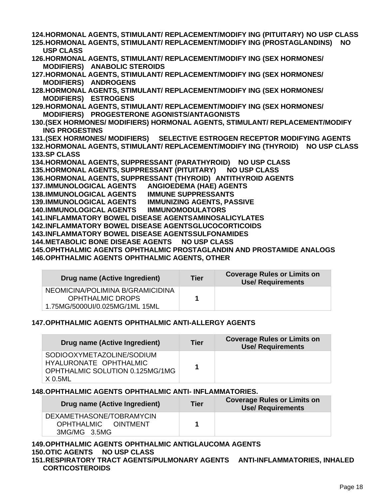**124.HORMONAL AGENTS, STIMULANT/ REPLACEMENT/MODIFY ING (PITUITARY) NO USP CLASS 125.HORMONAL AGENTS, STIMULANT/ REPLACEMENT/MODIFY ING (PROSTAGLANDINS) NO USP CLASS 126.HORMONAL AGENTS, STIMULANT/ REPLACEMENT/MODIFY ING (SEX HORMONES/ MODIFIERS) ANABOLIC STEROIDS 127.HORMONAL AGENTS, STIMULANT/ REPLACEMENT/MODIFY ING (SEX HORMONES/ MODIFIERS) ANDROGENS 128.HORMONAL AGENTS, STIMULANT/ REPLACEMENT/MODIFY ING (SEX HORMONES/ MODIFIERS) ESTROGENS 129.HORMONAL AGENTS, STIMULANT/ REPLACEMENT/MODIFY ING (SEX HORMONES/ MODIFIERS) PROGESTERONE AGONISTS/ANTAGONISTS 130.(SEX HORMONES/ MODIFIERS) HORMONAL AGENTS, STIMULANT/ REPLACEMENT/MODIFY ING PROGESTINS 131.(SEX HORMONES/ MODIFIERS) SELECTIVE ESTROGEN RECEPTOR MODIFYING AGENTS 132.HORMONAL AGENTS, STIMULANT/ REPLACEMENT/MODIFY ING (THYROID) NO USP CLASS 133.SP CLASS 134.HORMONAL AGENTS, SUPPRESSANT (PARATHYROID) NO USP CLASS 135.HORMONAL AGENTS, SUPPRESSANT (PITUITARY) NO USP CLASS 136.HORMONAL AGENTS, SUPPRESSANT (THYROID) ANTITHYROID AGENTS 137.IMMUNOLOGICAL AGENTS ANGIOEDEMA (HAE) AGENTS 138.IMMUNOLOGICAL AGENTS IMMUNE SUPPRESSANTS 139.IMMUNOLOGICAL AGENTS IMMUNIZING AGENTS, PASSIVE 140.IMMUNOLOGICAL AGENTS IMMUNOMODULATORS 141.INFLAMMATORY BOWEL DISEASE AGENTSAMINOSALICYLATES 142.INFLAMMATORY BOWEL DISEASE AGENTSGLUCOCORTICOIDS 143.INFLAMMATORY BOWEL DISEASE AGENTSSULFONAMIDES 144.METABOLIC BONE DISEASE AGENTS NO USP CLASS 145.OPHTHALMIC AGENTS OPHTHALMIC PROSTAGLANDIN AND PROSTAMIDE ANALOGS 146.OPHTHALMIC AGENTS OPHTHALMIC AGENTS, OTHER**

| Drug name (Active Ingredient)                                                                 | Tier | <b>Coverage Rules or Limits on</b><br><b>Use/ Requirements</b> |
|-----------------------------------------------------------------------------------------------|------|----------------------------------------------------------------|
| NEOMICINA/POLIMINA B/GRAMICIDINA<br><b>OPHTHALMIC DROPS</b><br>1.75MG/5000UI/0.025MG/1ML 15ML |      |                                                                |

#### **147.OPHTHALMIC AGENTS OPHTHALMIC ANTI-ALLERGY AGENTS**

| Drug name (Active Ingredient)                                                                       | Tier | <b>Coverage Rules or Limits on</b><br><b>Use/ Requirements</b> |
|-----------------------------------------------------------------------------------------------------|------|----------------------------------------------------------------|
| SODIOOXYMETAZOLINE/SODIUM<br>HYALURONATE OPHTHALMIC<br>OPHTHALMIC SOLUTION 0.125MG/1MG<br>$X$ 0.5ML |      |                                                                |

#### **148.OPHTHALMIC AGENTS OPHTHALMIC ANTI- INFLAMMATORIES.**

| Drug name (Active Ingredient)                                   | Tier | <b>Coverage Rules or Limits on</b><br><b>Use/ Requirements</b> |
|-----------------------------------------------------------------|------|----------------------------------------------------------------|
| DEXAMETHASONE/TOBRAMYCIN<br>OPHTHALMIC OINTMENT<br>3MG/MG 3.5MG |      |                                                                |

#### **149.OPHTHALMIC AGENTS OPHTHALMIC ANTIGLAUCOMA AGENTS 150.OTIC AGENTS NO USP CLASS**

**151.RESPIRATORY TRACT AGENTS/PULMONARY AGENTS ANTI-INFLAMMATORIES, INHALED CORTICOSTEROIDS**